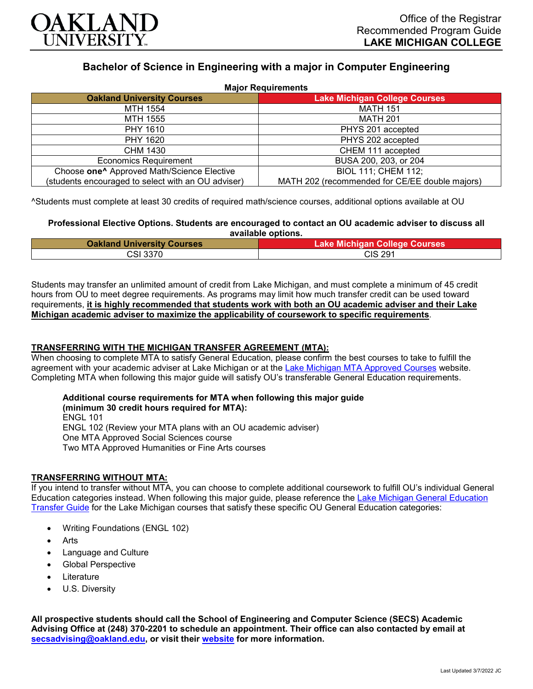

# **Bachelor of Science in Engineering with a major in Computer Engineering**

| <b>Major Requirements</b>                              |                                                |
|--------------------------------------------------------|------------------------------------------------|
| <b>Oakland University Courses</b>                      | <b>Lake Michigan College Courses</b>           |
| MTH 1554                                               | <b>MATH 151</b>                                |
| MTH 1555                                               | <b>MATH 201</b>                                |
| PHY 1610                                               | PHYS 201 accepted                              |
| PHY 1620                                               | PHYS 202 accepted                              |
| CHM 1430                                               | CHEM 111 accepted                              |
| <b>Economics Requirement</b>                           | BUSA 200, 203, or 204                          |
| Choose one <sup>^</sup> Approved Math/Science Elective | <b>BIOL 111; CHEM 112;</b>                     |
| (students encouraged to select with an OU adviser)     | MATH 202 (recommended for CE/EE double majors) |

^Students must complete at least 30 credits of required math/science courses, additional options available at OU

**Professional Elective Options. Students are encouraged to contact an OU academic adviser to discuss all available options.**

| <b>Oakland University Courses</b> | Lake Michigan College Courses |
|-----------------------------------|-------------------------------|
| CSI 3370.                         | CIS 291                       |

Students may transfer an unlimited amount of credit from Lake Michigan, and must complete a minimum of 45 credit hours from OU to meet degree requirements. As programs may limit how much transfer credit can be used toward requirements, **it is highly recommended that students work with both an OU academic adviser and their Lake Michigan academic adviser to maximize the applicability of coursework to specific requirements**.

## **TRANSFERRING WITH THE MICHIGAN TRANSFER AGREEMENT (MTA):**

When choosing to complete MTA to satisfy General Education, please confirm the best courses to take to fulfill the agreement with your academic adviser at Lake Michigan or at the [Lake Michigan MTA Approved Courses](https://www.lakemichigancollege.edu/academics/educational-goals/transfer/transfer-information) website. Completing MTA when following this major guide will satisfy OU's transferable General Education requirements.

**Additional course requirements for MTA when following this major guide (minimum 30 credit hours required for MTA):** ENGL 101 ENGL 102 (Review your MTA plans with an OU academic adviser) One MTA Approved Social Sciences course Two MTA Approved Humanities or Fine Arts courses

#### **TRANSFERRING WITHOUT MTA:**

If you intend to transfer without MTA, you can choose to complete additional coursework to fulfill OU's individual General Education categories instead. When following this major guide, please reference the [Lake Michigan General Education](https://www.oakland.edu/Assets/Oakland/program-guides/lake-michigan-college/university-general-education-requirements/Lake%20Michigan%20Gen%20Ed.pdf)  [Transfer Guide](https://www.oakland.edu/Assets/Oakland/program-guides/lake-michigan-college/university-general-education-requirements/Lake%20Michigan%20Gen%20Ed.pdf) for the Lake Michigan courses that satisfy these specific OU General Education categories:

- Writing Foundations (ENGL 102)
- **Arts**
- Language and Culture
- Global Perspective
- **Literature**
- U.S. Diversity

**All prospective students should call the School of Engineering and Computer Science (SECS) Academic Advising Office at (248) 370-2201 to schedule an appointment. Their office can also contacted by email at [secsadvising@oakland.edu,](mailto:secsadvising@oakland.edu) or visit their [website](https://wwwp.oakland.edu/secs/advising/) for more information.**